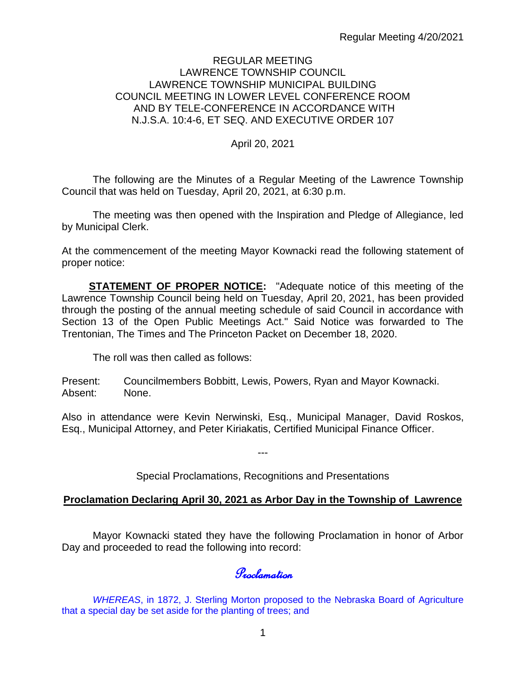### REGULAR MEETING LAWRENCE TOWNSHIP COUNCIL LAWRENCE TOWNSHIP MUNICIPAL BUILDING COUNCIL MEETING IN LOWER LEVEL CONFERENCE ROOM AND BY TELE-CONFERENCE IN ACCORDANCE WITH N.J.S.A. 10:4-6, ET SEQ. AND EXECUTIVE ORDER 107

## April 20, 2021

The following are the Minutes of a Regular Meeting of the Lawrence Township Council that was held on Tuesday, April 20, 2021, at 6:30 p.m.

The meeting was then opened with the Inspiration and Pledge of Allegiance, led by Municipal Clerk.

At the commencement of the meeting Mayor Kownacki read the following statement of proper notice:

**STATEMENT OF PROPER NOTICE:** "Adequate notice of this meeting of the Lawrence Township Council being held on Tuesday, April 20, 2021, has been provided through the posting of the annual meeting schedule of said Council in accordance with Section 13 of the Open Public Meetings Act." Said Notice was forwarded to The Trentonian, The Times and The Princeton Packet on December 18, 2020.

The roll was then called as follows:

Present: Councilmembers Bobbitt, Lewis, Powers, Ryan and Mayor Kownacki. Absent: None.

Also in attendance were Kevin Nerwinski, Esq., Municipal Manager, David Roskos, Esq., Municipal Attorney, and Peter Kiriakatis, Certified Municipal Finance Officer.

---

Special Proclamations, Recognitions and Presentations

## **Proclamation Declaring April 30, 2021 as Arbor Day in the Township of Lawrence**

Mayor Kownacki stated they have the following Proclamation in honor of Arbor Day and proceeded to read the following into record:

Proclamation

*WHEREAS*, in 1872, J. Sterling Morton proposed to the Nebraska Board of Agriculture that a special day be set aside for the planting of trees; and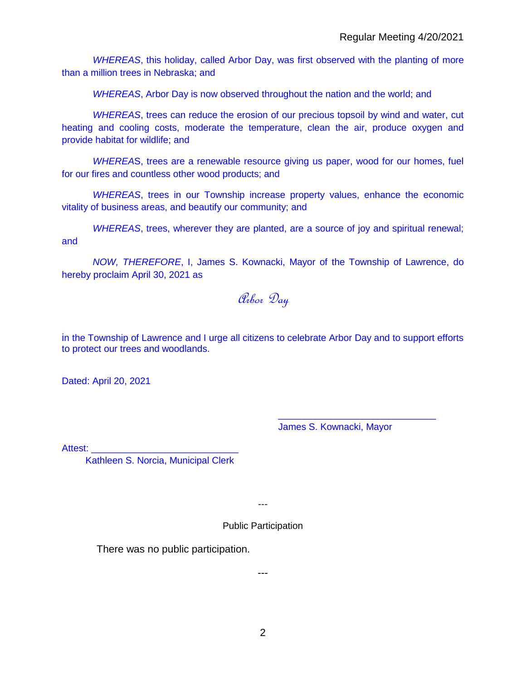*WHEREAS*, this holiday, called Arbor Day, was first observed with the planting of more than a million trees in Nebraska; and

*WHEREAS*, Arbor Day is now observed throughout the nation and the world; and

*WHEREAS*, trees can reduce the erosion of our precious topsoil by wind and water, cut heating and cooling costs, moderate the temperature, clean the air, produce oxygen and provide habitat for wildlife; and

*WHEREA*S, trees are a renewable resource giving us paper, wood for our homes, fuel for our fires and countless other wood products; and

*WHEREAS*, trees in our Township increase property values, enhance the economic vitality of business areas, and beautify our community; and

*WHEREAS*, trees, wherever they are planted, are a source of joy and spiritual renewal; and

*NOW, THEREFORE*, I, James S. Kownacki, Mayor of the Township of Lawrence, do hereby proclaim April 30, 2021 as

Arbor Day

in the Township of Lawrence and I urge all citizens to celebrate Arbor Day and to support efforts to protect our trees and woodlands.

Dated: April 20, 2021

James S. Kownacki, Mayor

\_\_\_\_\_\_\_\_\_\_\_\_\_\_\_\_\_\_\_\_\_\_\_\_\_\_\_\_\_\_

Attest:

Kathleen S. Norcia, Municipal Clerk

---

Public Participation

There was no public participation.

---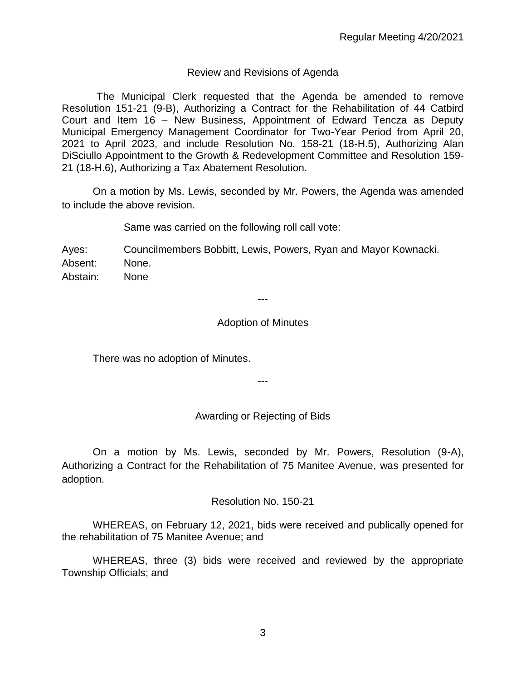## Review and Revisions of Agenda

The Municipal Clerk requested that the Agenda be amended to remove Resolution 151-21 (9-B), Authorizing a Contract for the Rehabilitation of 44 Catbird Court and Item 16 – New Business, Appointment of Edward Tencza as Deputy Municipal Emergency Management Coordinator for Two-Year Period from April 20, 2021 to April 2023, and include Resolution No. 158-21 (18-H.5), Authorizing Alan DiSciullo Appointment to the Growth & Redevelopment Committee and Resolution 159- 21 (18-H.6), Authorizing a Tax Abatement Resolution.

On a motion by Ms. Lewis, seconded by Mr. Powers, the Agenda was amended to include the above revision.

Same was carried on the following roll call vote:

Ayes: Councilmembers Bobbitt, Lewis, Powers, Ryan and Mayor Kownacki. Absent: None. Abstain: None

#### ---

#### Adoption of Minutes

There was no adoption of Minutes.

---

### Awarding or Rejecting of Bids

On a motion by Ms. Lewis, seconded by Mr. Powers, Resolution (9-A), Authorizing a Contract for the Rehabilitation of 75 Manitee Avenue, was presented for adoption.

Resolution No. 150-21

WHEREAS, on February 12, 2021, bids were received and publically opened for the rehabilitation of 75 Manitee Avenue; and

WHEREAS, three (3) bids were received and reviewed by the appropriate Township Officials; and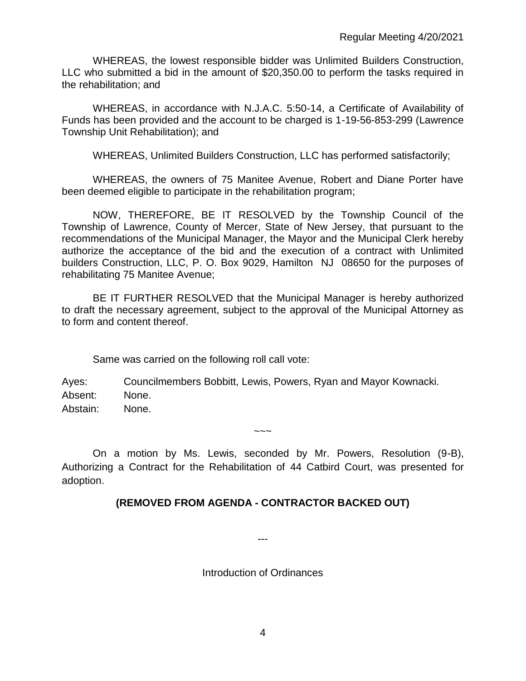WHEREAS, the lowest responsible bidder was Unlimited Builders Construction, LLC who submitted a bid in the amount of \$20,350.00 to perform the tasks required in the rehabilitation; and

WHEREAS, in accordance with N.J.A.C. 5:50-14, a Certificate of Availability of Funds has been provided and the account to be charged is 1-19-56-853-299 (Lawrence Township Unit Rehabilitation); and

WHEREAS, Unlimited Builders Construction, LLC has performed satisfactorily;

WHEREAS, the owners of 75 Manitee Avenue, Robert and Diane Porter have been deemed eligible to participate in the rehabilitation program;

NOW, THEREFORE, BE IT RESOLVED by the Township Council of the Township of Lawrence, County of Mercer, State of New Jersey, that pursuant to the recommendations of the Municipal Manager, the Mayor and the Municipal Clerk hereby authorize the acceptance of the bid and the execution of a contract with Unlimited builders Construction, LLC, P. O. Box 9029, Hamilton NJ 08650 for the purposes of rehabilitating 75 Manitee Avenue;

BE IT FURTHER RESOLVED that the Municipal Manager is hereby authorized to draft the necessary agreement, subject to the approval of the Municipal Attorney as to form and content thereof.

Same was carried on the following roll call vote:

Ayes: Councilmembers Bobbitt, Lewis, Powers, Ryan and Mayor Kownacki. Absent: None. Abstain: None.

On a motion by Ms. Lewis, seconded by Mr. Powers, Resolution (9-B), Authorizing a Contract for the Rehabilitation of 44 Catbird Court, was presented for adoption.

 $\sim\sim\sim$ 

## **(REMOVED FROM AGENDA - CONTRACTOR BACKED OUT)**

Introduction of Ordinances

---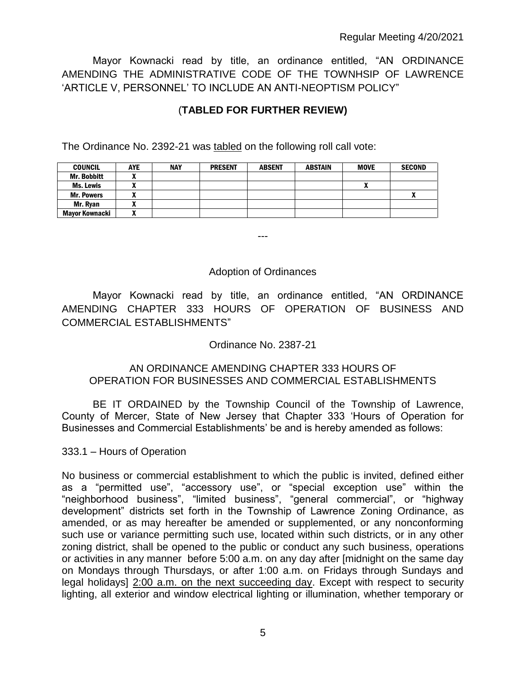Mayor Kownacki read by title, an ordinance entitled, "AN ORDINANCE AMENDING THE ADMINISTRATIVE CODE OF THE TOWNHSIP OF LAWRENCE 'ARTICLE V, PERSONNEL' TO INCLUDE AN ANTI-NEOPTISM POLICY"

# (**TABLED FOR FURTHER REVIEW)**

The Ordinance No. 2392-21 was tabled on the following roll call vote:

| <b>COUNCIL</b>     | <b>AYE</b>               | <b>NAY</b> | <b>PRESENT</b> | <b>ABSENT</b> | <b>ABSTAIN</b> | <b>MOVE</b> | <b>SECOND</b> |
|--------------------|--------------------------|------------|----------------|---------------|----------------|-------------|---------------|
| <b>Mr. Bobbitt</b> | ~                        |            |                |               |                |             |               |
| Ms. Lewis          |                          |            |                |               |                |             |               |
| <b>Mr. Powers</b>  |                          |            |                |               |                |             |               |
| Mr. Ryan           |                          |            |                |               |                |             |               |
| Mavor Kownacki     | $\overline{\phantom{a}}$ |            |                |               |                |             |               |

---

### Adoption of Ordinances

Mayor Kownacki read by title, an ordinance entitled, "AN ORDINANCE AMENDING CHAPTER 333 HOURS OF OPERATION OF BUSINESS AND COMMERCIAL ESTABLISHMENTS"

Ordinance No. 2387-21

## AN ORDINANCE AMENDING CHAPTER 333 HOURS OF OPERATION FOR BUSINESSES AND COMMERCIAL ESTABLISHMENTS

BE IT ORDAINED by the Township Council of the Township of Lawrence, County of Mercer, State of New Jersey that Chapter 333 'Hours of Operation for Businesses and Commercial Establishments' be and is hereby amended as follows:

333.1 – Hours of Operation

No business or commercial establishment to which the public is invited, defined either as a "permitted use", "accessory use", or "special exception use" within the "neighborhood business", "limited business", "general commercial", or "highway development" districts set forth in the Township of Lawrence Zoning Ordinance, as amended, or as may hereafter be amended or supplemented, or any nonconforming such use or variance permitting such use, located within such districts, or in any other zoning district, shall be opened to the public or conduct any such business, operations or activities in any manner before 5:00 a.m. on any day after [midnight on the same day on Mondays through Thursdays, or after 1:00 a.m. on Fridays through Sundays and legal holidays] 2:00 a.m. on the next succeeding day. Except with respect to security lighting, all exterior and window electrical lighting or illumination, whether temporary or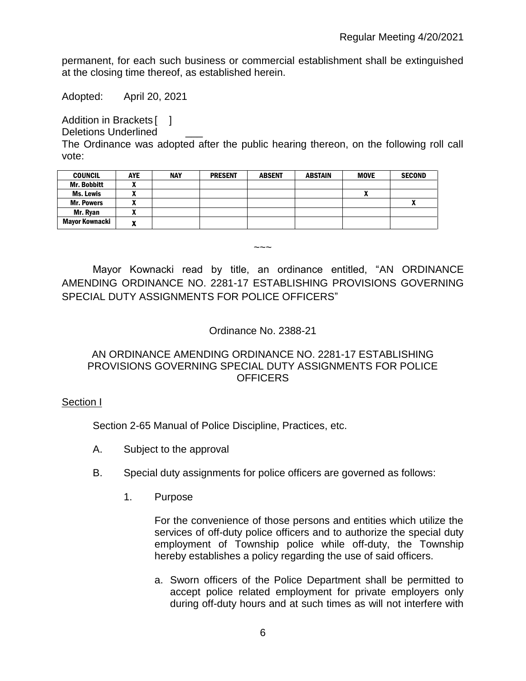permanent, for each such business or commercial establishment shall be extinguished at the closing time thereof, as established herein.

Adopted: April 20, 2021

Addition in Brackets [ ]

Deletions Underlined

The Ordinance was adopted after the public hearing thereon, on the following roll call vote:

| <b>COUNCIL</b>    | <b>AYE</b> | <b>NAY</b> | <b>PRESENT</b> | <b>ABSENT</b> | <b>ABSTAIN</b> | <b>MOVE</b> | <b>SECOND</b> |
|-------------------|------------|------------|----------------|---------------|----------------|-------------|---------------|
| Mr. Bobbitt       |            |            |                |               |                |             |               |
| Ms. Lewis         |            |            |                |               |                | Λ           |               |
| <b>Mr. Powers</b> | ,,,        |            |                |               |                |             | Λ             |
| Mr. Ryan          | n          |            |                |               |                |             |               |
| Mayor Kownacki    | n          |            |                |               |                |             |               |

Mayor Kownacki read by title, an ordinance entitled, "AN ORDINANCE AMENDING ORDINANCE NO. 2281-17 ESTABLISHING PROVISIONS GOVERNING SPECIAL DUTY ASSIGNMENTS FOR POLICE OFFICERS"

 $\sim\sim\sim$ 

## Ordinance No. 2388-21

## AN ORDINANCE AMENDING ORDINANCE NO. 2281-17 ESTABLISHING PROVISIONS GOVERNING SPECIAL DUTY ASSIGNMENTS FOR POLICE **OFFICERS**

### Section I

Section 2-65 Manual of Police Discipline, Practices, etc.

- A. Subject to the approval
- B. Special duty assignments for police officers are governed as follows:
	- 1. Purpose

For the convenience of those persons and entities which utilize the services of off-duty police officers and to authorize the special duty employment of Township police while off-duty, the Township hereby establishes a policy regarding the use of said officers.

a. Sworn officers of the Police Department shall be permitted to accept police related employment for private employers only during off-duty hours and at such times as will not interfere with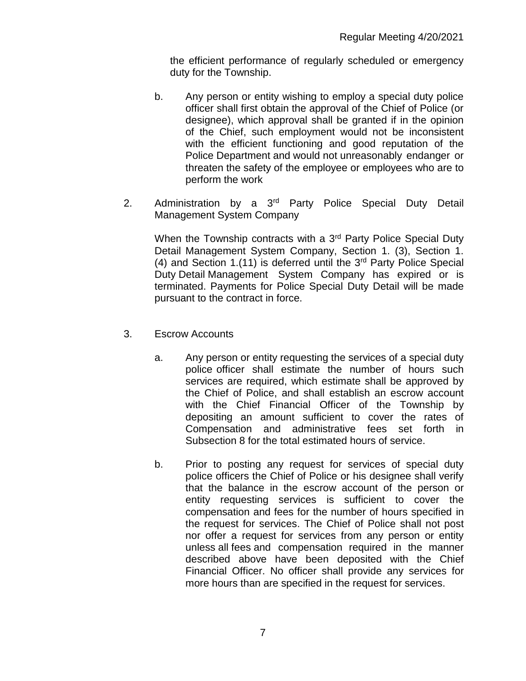the efficient performance of regularly scheduled or emergency duty for the Township.

- b. Any person or entity wishing to employ a special duty police officer shall first obtain the approval of the Chief of Police (or designee), which approval shall be granted if in the opinion of the Chief, such employment would not be inconsistent with the efficient functioning and good reputation of the Police Department and would not unreasonably endanger or threaten the safety of the employee or employees who are to perform the work
- 2. Administration by a 3<sup>rd</sup> Party Police Special Duty Detail Management System Company

When the Township contracts with a 3<sup>rd</sup> Party Police Special Duty Detail Management System Company, Section 1. (3), Section 1. (4) and Section 1.(11) is deferred until the  $3<sup>rd</sup>$  Party Police Special Duty Detail Management System Company has expired or is terminated. Payments for Police Special Duty Detail will be made pursuant to the contract in force.

- 3. Escrow Accounts
	- a. Any person or entity requesting the services of a special duty police officer shall estimate the number of hours such services are required, which estimate shall be approved by the Chief of Police, and shall establish an escrow account with the Chief Financial Officer of the Township by depositing an amount sufficient to cover the rates of Compensation and administrative fees set forth in Subsection 8 for the total estimated hours of service.
	- b. Prior to posting any request for services of special duty police officers the Chief of Police or his designee shall verify that the balance in the escrow account of the person or entity requesting services is sufficient to cover the compensation and fees for the number of hours specified in the request for services. The Chief of Police shall not post nor offer a request for services from any person or entity unless all fees and compensation required in the manner described above have been deposited with the Chief Financial Officer. No officer shall provide any services for more hours than are specified in the request for services.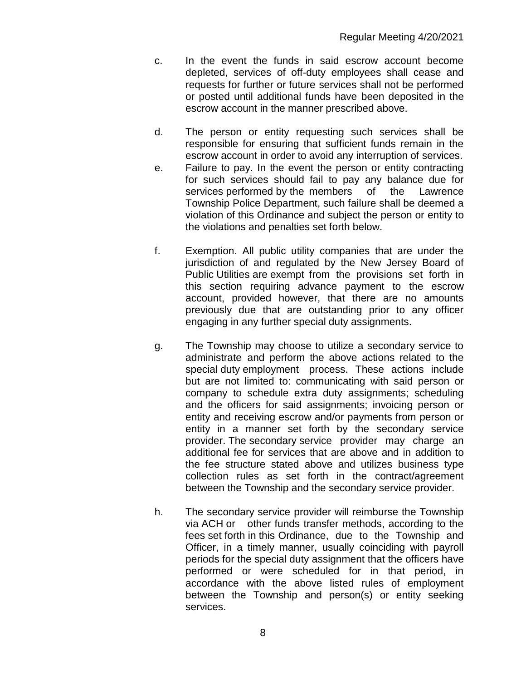- c. In the event the funds in said escrow account become depleted, services of off-duty employees shall cease and requests for further or future services shall not be performed or posted until additional funds have been deposited in the escrow account in the manner prescribed above.
- d. The person or entity requesting such services shall be responsible for ensuring that sufficient funds remain in the escrow account in order to avoid any interruption of services.
- e. Failure to pay. In the event the person or entity contracting for such services should fail to pay any balance due for services performed by the members of the Lawrence Township Police Department, such failure shall be deemed a violation of this Ordinance and subject the person or entity to the violations and penalties set forth below.
- f. Exemption. All public utility companies that are under the jurisdiction of and regulated by the New Jersey Board of Public Utilities are exempt from the provisions set forth in this section requiring advance payment to the escrow account, provided however, that there are no amounts previously due that are outstanding prior to any officer engaging in any further special duty assignments.
- g. The Township may choose to utilize a secondary service to administrate and perform the above actions related to the special duty employment process. These actions include but are not limited to: communicating with said person or company to schedule extra duty assignments; scheduling and the officers for said assignments; invoicing person or entity and receiving escrow and/or payments from person or entity in a manner set forth by the secondary service provider. The secondary service provider may charge an additional fee for services that are above and in addition to the fee structure stated above and utilizes business type collection rules as set forth in the contract/agreement between the Township and the secondary service provider.
- h. The secondary service provider will reimburse the Township via ACH or other funds transfer methods, according to the fees set forth in this Ordinance, due to the Township and Officer, in a timely manner, usually coinciding with payroll periods for the special duty assignment that the officers have performed or were scheduled for in that period, in accordance with the above listed rules of employment between the Township and person(s) or entity seeking services.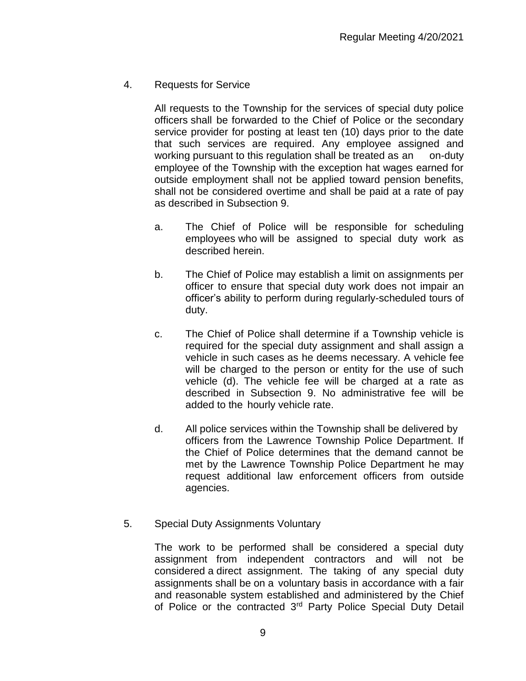4. Requests for Service

All requests to the Township for the services of special duty police officers shall be forwarded to the Chief of Police or the secondary service provider for posting at least ten (10) days prior to the date that such services are required. Any employee assigned and working pursuant to this regulation shall be treated as an on-duty employee of the Township with the exception hat wages earned for outside employment shall not be applied toward pension benefits, shall not be considered overtime and shall be paid at a rate of pay as described in Subsection 9.

- a. The Chief of Police will be responsible for scheduling employees who will be assigned to special duty work as described herein.
- b. The Chief of Police may establish a limit on assignments per officer to ensure that special duty work does not impair an officer's ability to perform during regularly-scheduled tours of duty.
- c. The Chief of Police shall determine if a Township vehicle is required for the special duty assignment and shall assign a vehicle in such cases as he deems necessary. A vehicle fee will be charged to the person or entity for the use of such vehicle (d). The vehicle fee will be charged at a rate as described in Subsection 9. No administrative fee will be added to the hourly vehicle rate.
- d. All police services within the Township shall be delivered by officers from the Lawrence Township Police Department. If the Chief of Police determines that the demand cannot be met by the Lawrence Township Police Department he may request additional law enforcement officers from outside agencies.
- 5. Special Duty Assignments Voluntary

The work to be performed shall be considered a special duty assignment from independent contractors and will not be considered a direct assignment. The taking of any special duty assignments shall be on a voluntary basis in accordance with a fair and reasonable system established and administered by the Chief of Police or the contracted 3<sup>rd</sup> Party Police Special Duty Detail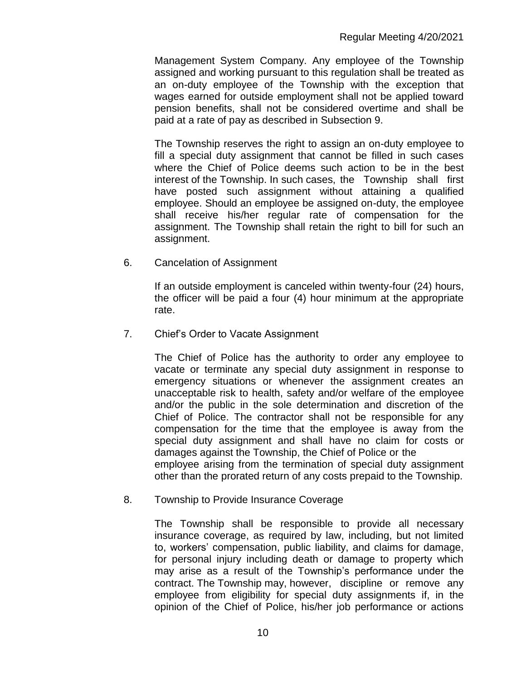Management System Company. Any employee of the Township assigned and working pursuant to this regulation shall be treated as an on-duty employee of the Township with the exception that wages earned for outside employment shall not be applied toward pension benefits, shall not be considered overtime and shall be paid at a rate of pay as described in Subsection 9.

The Township reserves the right to assign an on-duty employee to fill a special duty assignment that cannot be filled in such cases where the Chief of Police deems such action to be in the best interest of the Township. In such cases, the Township shall first have posted such assignment without attaining a qualified employee. Should an employee be assigned on-duty, the employee shall receive his/her regular rate of compensation for the assignment. The Township shall retain the right to bill for such an assignment.

6. Cancelation of Assignment

If an outside employment is canceled within twenty-four (24) hours, the officer will be paid a four (4) hour minimum at the appropriate rate.

7. Chief's Order to Vacate Assignment

The Chief of Police has the authority to order any employee to vacate or terminate any special duty assignment in response to emergency situations or whenever the assignment creates an unacceptable risk to health, safety and/or welfare of the employee and/or the public in the sole determination and discretion of the Chief of Police. The contractor shall not be responsible for any compensation for the time that the employee is away from the special duty assignment and shall have no claim for costs or damages against the Township, the Chief of Police or the employee arising from the termination of special duty assignment other than the prorated return of any costs prepaid to the Township.

8. Township to Provide Insurance Coverage

The Township shall be responsible to provide all necessary insurance coverage, as required by law, including, but not limited to, workers' compensation, public liability, and claims for damage, for personal injury including death or damage to property which may arise as a result of the Township's performance under the contract. The Township may, however, discipline or remove any employee from eligibility for special duty assignments if, in the opinion of the Chief of Police, his/her job performance or actions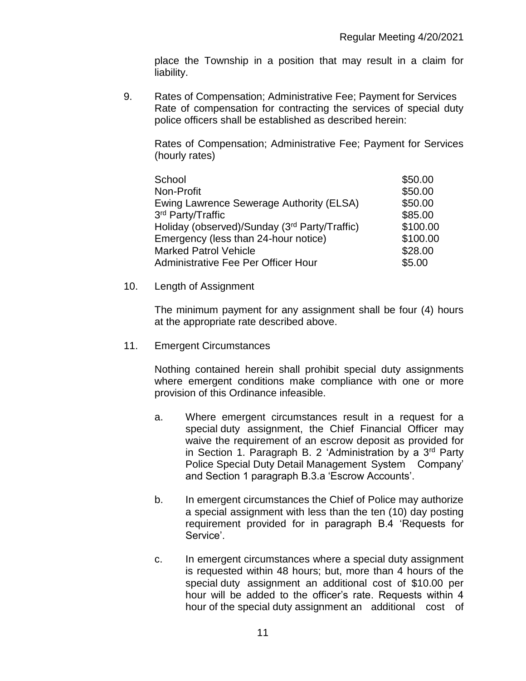place the Township in a position that may result in a claim for liability.

9. Rates of Compensation; Administrative Fee; Payment for Services Rate of compensation for contracting the services of special duty police officers shall be established as described herein:

Rates of Compensation; Administrative Fee; Payment for Services (hourly rates)

| School                                        | \$50.00  |
|-----------------------------------------------|----------|
| Non-Profit                                    | \$50.00  |
| Ewing Lawrence Sewerage Authority (ELSA)      | \$50.00  |
| 3rd Party/Traffic                             | \$85.00  |
| Holiday (observed)/Sunday (3rd Party/Traffic) | \$100.00 |
| Emergency (less than 24-hour notice)          | \$100.00 |
| <b>Marked Patrol Vehicle</b>                  | \$28.00  |
| Administrative Fee Per Officer Hour           | \$5.00   |

#### 10. Length of Assignment

The minimum payment for any assignment shall be four (4) hours at the appropriate rate described above.

### 11. Emergent Circumstances

Nothing contained herein shall prohibit special duty assignments where emergent conditions make compliance with one or more provision of this Ordinance infeasible.

- a. Where emergent circumstances result in a request for a special duty assignment, the Chief Financial Officer may waive the requirement of an escrow deposit as provided for in Section 1. Paragraph B. 2 'Administration by a 3rd Party Police Special Duty Detail Management System Company' and Section 1 paragraph B.3.a 'Escrow Accounts'.
- b. In emergent circumstances the Chief of Police may authorize a special assignment with less than the ten (10) day posting requirement provided for in paragraph B.4 'Requests for Service'.
- c. In emergent circumstances where a special duty assignment is requested within 48 hours; but, more than 4 hours of the special duty assignment an additional cost of \$10.00 per hour will be added to the officer's rate. Requests within 4 hour of the special duty assignment an additional cost of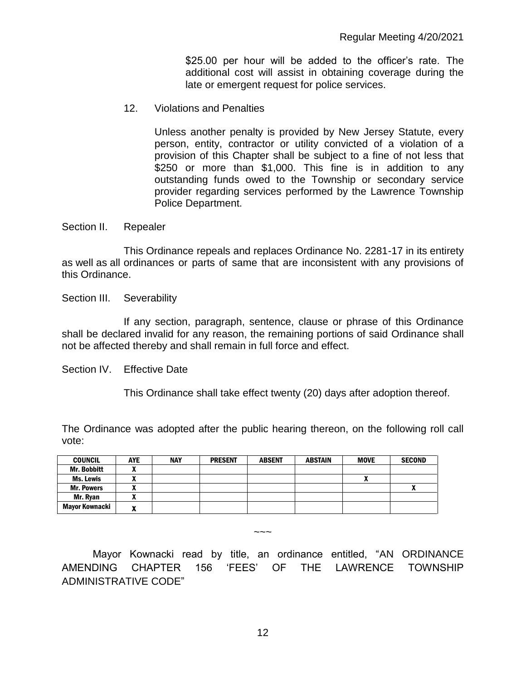\$25.00 per hour will be added to the officer's rate. The additional cost will assist in obtaining coverage during the late or emergent request for police services.

12. Violations and Penalties

Unless another penalty is provided by New Jersey Statute, every person, entity, contractor or utility convicted of a violation of a provision of this Chapter shall be subject to a fine of not less that \$250 or more than \$1,000. This fine is in addition to any outstanding funds owed to the Township or secondary service provider regarding services performed by the Lawrence Township Police Department.

Section II. Repealer

This Ordinance repeals and replaces Ordinance No. 2281-17 in its entirety as well as all ordinances or parts of same that are inconsistent with any provisions of this Ordinance.

Section III. Severability

If any section, paragraph, sentence, clause or phrase of this Ordinance shall be declared invalid for any reason, the remaining portions of said Ordinance shall not be affected thereby and shall remain in full force and effect.

Section IV. Effective Date

This Ordinance shall take effect twenty (20) days after adoption thereof.

The Ordinance was adopted after the public hearing thereon, on the following roll call vote:

| <b>COUNCIL</b>     | <b>AYE</b>                      | <b>NAY</b> | <b>PRESENT</b> | <b>ABSENT</b> | <b>ABSTAIN</b> | <b>MOVE</b> | <b>SECOND</b> |
|--------------------|---------------------------------|------------|----------------|---------------|----------------|-------------|---------------|
| <b>Mr. Bobbitt</b> | $\boldsymbol{\mathcal{L}}$      |            |                |               |                |             |               |
| Ms. Lewis          | -                               |            |                |               |                | n           |               |
| <b>Mr. Powers</b>  | ^                               |            |                |               |                |             |               |
| Mr. Rvan           | -<br>Δ                          |            |                |               |                |             |               |
| Mayor Kownacki     | w<br>$\boldsymbol{\mathcal{L}}$ |            |                |               |                |             |               |

 $\sim\sim\sim$ 

 Mayor Kownacki read by title, an ordinance entitled, "AN ORDINANCE AMENDING CHAPTER 156 'FEES' OF THE LAWRENCE TOWNSHIP ADMINISTRATIVE CODE"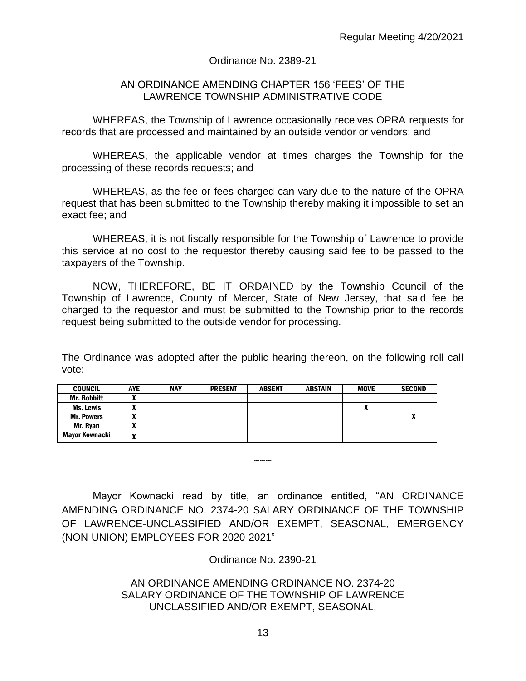### Ordinance No. 2389-21

#### AN ORDINANCE AMENDING CHAPTER 156 'FEES' OF THE LAWRENCE TOWNSHIP ADMINISTRATIVE CODE

WHEREAS, the Township of Lawrence occasionally receives OPRA requests for records that are processed and maintained by an outside vendor or vendors; and

WHEREAS, the applicable vendor at times charges the Township for the processing of these records requests; and

WHEREAS, as the fee or fees charged can vary due to the nature of the OPRA request that has been submitted to the Township thereby making it impossible to set an exact fee; and

WHEREAS, it is not fiscally responsible for the Township of Lawrence to provide this service at no cost to the requestor thereby causing said fee to be passed to the taxpayers of the Township.

NOW, THEREFORE, BE IT ORDAINED by the Township Council of the Township of Lawrence, County of Mercer, State of New Jersey, that said fee be charged to the requestor and must be submitted to the Township prior to the records request being submitted to the outside vendor for processing.

The Ordinance was adopted after the public hearing thereon, on the following roll call vote:

| <b>COUNCIL</b>     | <b>AYE</b> | <b>NAY</b> | <b>PRESENT</b> | <b>ABSENT</b> | <b>ABSTAIN</b> | <b>MOVE</b> | <b>SECOND</b> |
|--------------------|------------|------------|----------------|---------------|----------------|-------------|---------------|
| <b>Mr. Bobbitt</b> |            |            |                |               |                |             |               |
| <b>Ms. Lewis</b>   |            |            |                |               |                | A           |               |
| <b>Mr. Powers</b>  | ~          |            |                |               |                |             |               |
| Mr. Ryan           | n          |            |                |               |                |             |               |
| Mayor Kownacki     | -          |            |                |               |                |             |               |

Mayor Kownacki read by title, an ordinance entitled, "AN ORDINANCE AMENDING ORDINANCE NO. 2374-20 SALARY ORDINANCE OF THE TOWNSHIP OF LAWRENCE-UNCLASSIFIED AND/OR EXEMPT, SEASONAL, EMERGENCY (NON-UNION) EMPLOYEES FOR 2020-2021"

 $\sim\sim\sim$ 

Ordinance No. 2390-21

## AN ORDINANCE AMENDING ORDINANCE NO. 2374-20 SALARY ORDINANCE OF THE TOWNSHIP OF LAWRENCE UNCLASSIFIED AND/OR EXEMPT, SEASONAL,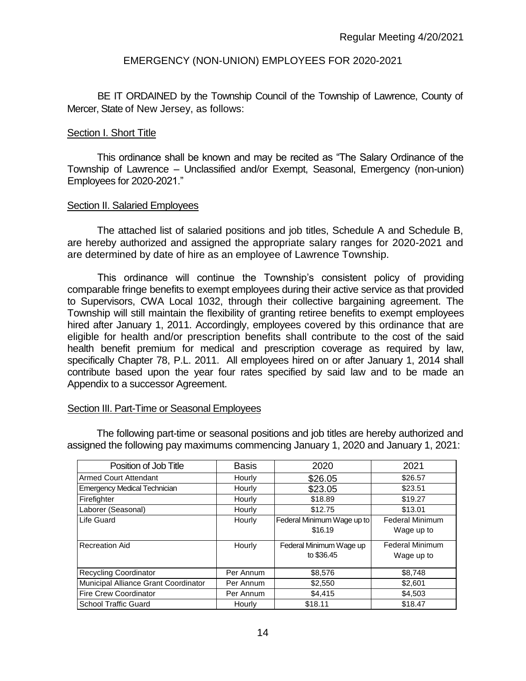### EMERGENCY (NON-UNION) EMPLOYEES FOR 2020-2021

BE IT ORDAINED by the Township Council of the Township of Lawrence, County of Mercer, State of New Jersey, as follows:

#### Section I. Short Title

This ordinance shall be known and may be recited as "The Salary Ordinance of the Township of Lawrence – Unclassified and/or Exempt, Seasonal, Emergency (non-union) Employees for 2020-2021."

#### Section II. Salaried Employees

The attached list of salaried positions and job titles, Schedule A and Schedule B, are hereby authorized and assigned the appropriate salary ranges for 2020-2021 and are determined by date of hire as an employee of Lawrence Township.

This ordinance will continue the Township's consistent policy of providing comparable fringe benefits to exempt employees during their active service as that provided to Supervisors, CWA Local 1032, through their collective bargaining agreement. The Township will still maintain the flexibility of granting retiree benefits to exempt employees hired after January 1, 2011. Accordingly, employees covered by this ordinance that are eligible for health and/or prescription benefits shall contribute to the cost of the said health benefit premium for medical and prescription coverage as required by law, specifically Chapter 78, P.L. 2011. All employees hired on or after January 1, 2014 shall contribute based upon the year four rates specified by said law and to be made an Appendix to a successor Agreement.

### Section III. Part-Time or Seasonal Employees

| Position of Job Title                | <b>Basis</b> | 2020                       | 2021                   |
|--------------------------------------|--------------|----------------------------|------------------------|
| <b>Armed Court Attendant</b>         | Hourly       | \$26.05                    | \$26.57                |
| <b>Emergency Medical Technician</b>  | Hourly       | \$23.05                    | \$23.51                |
| Firefighter                          | Hourly       | \$18.89                    | \$19.27                |
| Laborer (Seasonal)                   | Hourly       | \$12.75                    | \$13.01                |
| Life Guard                           | Hourly       | Federal Minimum Wage up to | <b>Federal Minimum</b> |
|                                      |              | \$16.19                    | Wage up to             |
| <b>Recreation Aid</b>                | Hourly       | Federal Minimum Wage up    | <b>Federal Minimum</b> |
|                                      |              | to \$36.45                 | Wage up to             |
|                                      |              |                            |                        |
| <b>Recycling Coordinator</b>         | Per Annum    | \$8,576                    | \$8,748                |
| Municipal Alliance Grant Coordinator | Per Annum    | \$2,550                    | \$2,601                |
| <b>Fire Crew Coordinator</b>         | Per Annum    | \$4,415                    | \$4,503                |
| School Traffic Guard                 | Hourly       | \$18.11                    | \$18.47                |

The following part-time or seasonal positions and job titles are hereby authorized and assigned the following pay maximums commencing January 1, 2020 and January 1, 2021: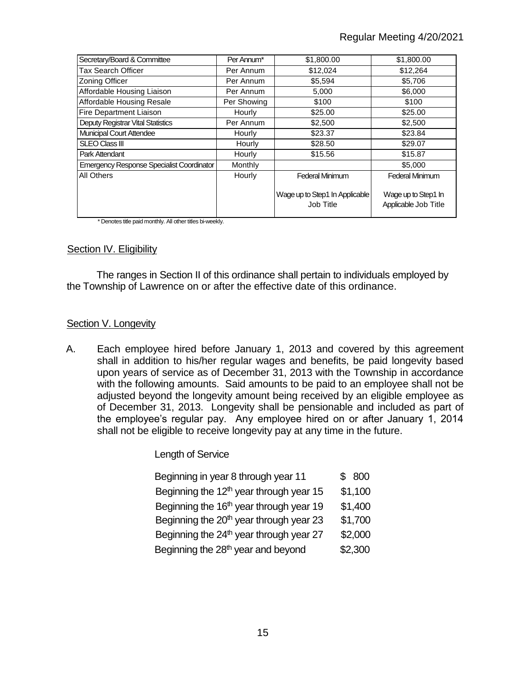## Regular Meeting 4/20/2021

| Secretary/Board & Committee                      | Per Annum*    | \$1,800.00                                  | \$1,800.00                                  |
|--------------------------------------------------|---------------|---------------------------------------------|---------------------------------------------|
| Tax Search Officer                               | Per Annum     | \$12,024                                    | \$12,264                                    |
| Zoning Officer                                   | Per Annum     | \$5,594                                     | \$5,706                                     |
| Affordable Housing Liaison                       | Per Annum     | 5.000                                       | \$6,000                                     |
| Affordable Housing Resale                        | Per Showing   | \$100                                       | \$100                                       |
| Fire Department Liaison                          | <b>Hourly</b> | \$25.00                                     | \$25.00                                     |
| Deputy Registrar Vital Statistics                | Per Annum     | \$2,500                                     | \$2,500                                     |
| <b>Municipal Court Attendee</b>                  | Hourly        | \$23.37                                     | \$23.84                                     |
| <b>SLEO Class III</b>                            | Hourly        | \$28.50                                     | \$29.07                                     |
| Park Attendant                                   | Hourly        | \$15.56                                     | \$15.87                                     |
| <b>Emergency Response Specialist Coordinator</b> | Monthly       |                                             | \$5,000                                     |
| All Others                                       | Hourly        | <b>Federal Minimum</b>                      | <b>Federal Minimum</b>                      |
|                                                  |               | Wage up to Step1 In Applicable<br>Job Title | Wage up to Step1 In<br>Applicable Job Title |

\* Denotes title paid monthly. All other titles bi-weekly.

#### **Section IV. Eligibility**

The ranges in Section II of this ordinance shall pertain to individuals employed by the Township of Lawrence on or after the effective date of this ordinance.

#### Section V. Longevity

A. Each employee hired before January 1, 2013 and covered by this agreement shall in addition to his/her regular wages and benefits, be paid longevity based upon years of service as of December 31, 2013 with the Township in accordance with the following amounts. Said amounts to be paid to an employee shall not be adjusted beyond the longevity amount being received by an eligible employee as of December 31, 2013. Longevity shall be pensionable and included as part of the employee's regular pay. Any employee hired on or after January 1, 2014 shall not be eligible to receive longevity pay at any time in the future.

Length of Service

| Beginning in year 8 through year 11                 | \$800   |
|-----------------------------------------------------|---------|
| Beginning the $12th$ year through year 15           | \$1,100 |
| Beginning the 16 <sup>th</sup> year through year 19 | \$1,400 |
| Beginning the 20 <sup>th</sup> year through year 23 | \$1,700 |
| Beginning the $24th$ year through year 27           | \$2,000 |
| Beginning the 28 <sup>th</sup> year and beyond      | \$2,300 |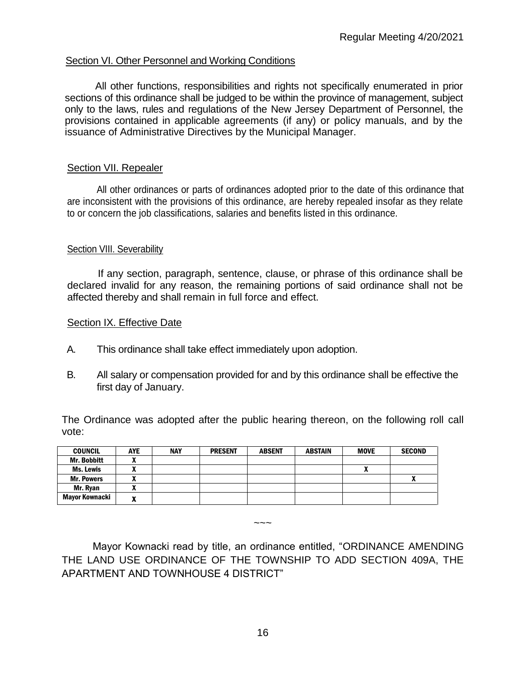## Section VI. Other Personnel and Working Conditions

All other functions, responsibilities and rights not specifically enumerated in prior sections of this ordinance shall be judged to be within the province of management, subject only to the laws, rules and regulations of the New Jersey Department of Personnel, the provisions contained in applicable agreements (if any) or policy manuals, and by the issuance of Administrative Directives by the Municipal Manager.

### Section VII. Repealer

All other ordinances or parts of ordinances adopted prior to the date of this ordinance that are inconsistent with the provisions of this ordinance, are hereby repealed insofar as they relate to or concern the job classifications, salaries and benefits listed in this ordinance.

#### Section VIII. Severability

If any section, paragraph, sentence, clause, or phrase of this ordinance shall be declared invalid for any reason, the remaining portions of said ordinance shall not be affected thereby and shall remain in full force and effect.

#### Section IX. Effective Date

- A. This ordinance shall take effect immediately upon adoption.
- B. All salary or compensation provided for and by this ordinance shall be effective the first day of January.

The Ordinance was adopted after the public hearing thereon, on the following roll call vote:

| <b>COUNCIL</b>        | <b>AYE</b>                 | <b>NAY</b> | <b>PRESENT</b> | <b>ABSENT</b> | <b>ABSTAIN</b> | <b>MOVE</b> | <b>SECOND</b> |
|-----------------------|----------------------------|------------|----------------|---------------|----------------|-------------|---------------|
| <b>Mr. Bobbitt</b>    | $\boldsymbol{\mathcal{L}}$ |            |                |               |                |             |               |
| <b>Ms. Lewis</b>      |                            |            |                |               |                | ^           |               |
| <b>Mr. Powers</b>     | A                          |            |                |               |                |             | v             |
| Mr. Ryan              | ~                          |            |                |               |                |             |               |
| <b>Mayor Kownacki</b> |                            |            |                |               |                |             |               |

Mayor Kownacki read by title, an ordinance entitled, "ORDINANCE AMENDING THE LAND USE ORDINANCE OF THE TOWNSHIP TO ADD SECTION 409A, THE APARTMENT AND TOWNHOUSE 4 DISTRICT"

 $\sim\sim\sim$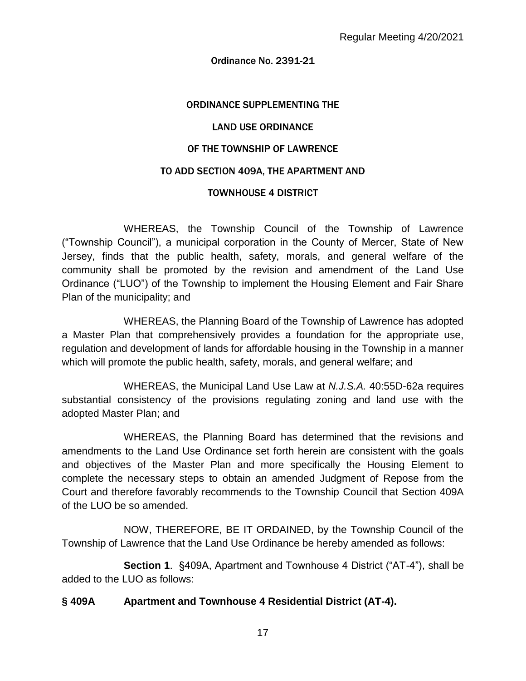#### Ordinance No. 2391-21

#### ORDINANCE SUPPLEMENTING THE

#### LAND USE ORDINANCE

#### OF THE TOWNSHIP OF LAWRENCE

#### TO ADD SECTION 409A, THE APARTMENT AND

#### TOWNHOUSE 4 DISTRICT

WHEREAS, the Township Council of the Township of Lawrence ("Township Council"), a municipal corporation in the County of Mercer, State of New Jersey, finds that the public health, safety, morals, and general welfare of the community shall be promoted by the revision and amendment of the Land Use Ordinance ("LUO") of the Township to implement the Housing Element and Fair Share Plan of the municipality; and

 WHEREAS, the Planning Board of the Township of Lawrence has adopted a Master Plan that comprehensively provides a foundation for the appropriate use, regulation and development of lands for affordable housing in the Township in a manner which will promote the public health, safety, morals, and general welfare; and

WHEREAS, the Municipal Land Use Law at *N.J.S.A.* 40:55D-62a requires substantial consistency of the provisions regulating zoning and land use with the adopted Master Plan; and

WHEREAS, the Planning Board has determined that the revisions and amendments to the Land Use Ordinance set forth herein are consistent with the goals and objectives of the Master Plan and more specifically the Housing Element to complete the necessary steps to obtain an amended Judgment of Repose from the Court and therefore favorably recommends to the Township Council that Section 409A of the LUO be so amended.

NOW, THEREFORE, BE IT ORDAINED, by the Township Council of the Township of Lawrence that the Land Use Ordinance be hereby amended as follows:

**Section 1**. §409A, Apartment and Townhouse 4 District ("AT-4"), shall be added to the LUO as follows:

### **§ 409A Apartment and Townhouse 4 Residential District (AT-4).**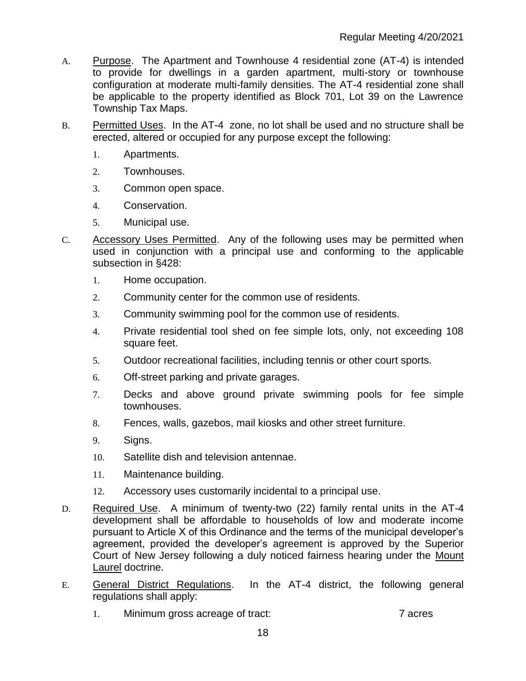- A. Purpose. The Apartment and Townhouse 4 residential zone (AT-4) is intended to provide for dwellings in a garden apartment, multi-story or townhouse configuration at moderate multi-family densities. The AT-4 residential zone shall be applicable to the property identified as Block 701, Lot 39 on the Lawrence Township Tax Maps.
- B. Permitted Uses. In the AT-4 zone, no lot shall be used and no structure shall be erected, altered or occupied for any purpose except the following:
	- 1. Apartments.
	- 2. Townhouses.
	- 3. Common open space.
	- 4. Conservation.
	- 5. Municipal use.
- C. Accessory Uses Permitted. Any of the following uses may be permitted when used in conjunction with a principal use and conforming to the applicable subsection in §428:
	- 1. Home occupation.
	- 2. Community center for the common use of residents.
	- 3. Community swimming pool for the common use of residents.
	- 4. Private residential tool shed on fee simple lots, only, not exceeding 108 square feet.
	- 5. Outdoor recreational facilities, including tennis or other court sports.
	- 6. Off-street parking and private garages.
	- 7. Decks and above ground private swimming pools for fee simple townhouses.
	- 8. Fences, walls, gazebos, mail kiosks and other street furniture.
	- 9. Signs.
	- 10. Satellite dish and television antennae.
	- 11. Maintenance building.
	- 12. Accessory uses customarily incidental to a principal use.
- D. Required Use. A minimum of twenty-two (22) family rental units in the AT-4 development shall be affordable to households of low and moderate income pursuant to Article X of this Ordinance and the terms of the municipal developer's agreement, provided the developer's agreement is approved by the Superior Court of New Jersey following a duly noticed fairness hearing under the Mount Laurel doctrine.
- E. General District Regulations. In the AT-4 district, the following general regulations shall apply:
	- 1. Minimum gross acreage of tract: 7 acres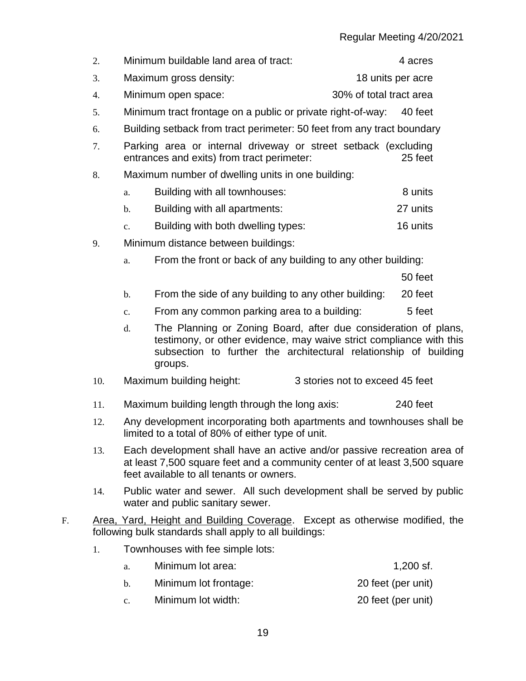|     |                                                                                                                                                                                                                             |                                                                        |                         | nogalar mooting -720/2021 |  |  |
|-----|-----------------------------------------------------------------------------------------------------------------------------------------------------------------------------------------------------------------------------|------------------------------------------------------------------------|-------------------------|---------------------------|--|--|
| 2.  |                                                                                                                                                                                                                             | Minimum buildable land area of tract:                                  |                         | 4 acres                   |  |  |
| 3.  |                                                                                                                                                                                                                             | Maximum gross density:                                                 | 18 units per acre       |                           |  |  |
| 4.  |                                                                                                                                                                                                                             | Minimum open space:                                                    | 30% of total tract area |                           |  |  |
| 5.  |                                                                                                                                                                                                                             | Minimum tract frontage on a public or private right-of-way:            |                         | 40 feet                   |  |  |
| 6.  |                                                                                                                                                                                                                             | Building setback from tract perimeter: 50 feet from any tract boundary |                         |                           |  |  |
| 7.  | Parking area or internal driveway or street setback (excluding<br>entrances and exits) from tract perimeter:<br>25 feet                                                                                                     |                                                                        |                         |                           |  |  |
| 8.  |                                                                                                                                                                                                                             | Maximum number of dwelling units in one building:                      |                         |                           |  |  |
|     | a.                                                                                                                                                                                                                          | Building with all townhouses:                                          |                         | 8 units                   |  |  |
|     | $\mathbf{b}$ .                                                                                                                                                                                                              | Building with all apartments:                                          |                         | 27 units                  |  |  |
|     | $\mathbf{c}$ .                                                                                                                                                                                                              | Building with both dwelling types:                                     |                         | 16 units                  |  |  |
| 9.  |                                                                                                                                                                                                                             | Minimum distance between buildings:                                    |                         |                           |  |  |
|     | a.                                                                                                                                                                                                                          | From the front or back of any building to any other building:          |                         |                           |  |  |
|     |                                                                                                                                                                                                                             |                                                                        |                         | 50 feet                   |  |  |
|     | $b$ .                                                                                                                                                                                                                       | From the side of any building to any other building:                   |                         | 20 feet                   |  |  |
|     | $\mathbf{c}$ .                                                                                                                                                                                                              | From any common parking area to a building:                            |                         | 5 feet                    |  |  |
|     | The Planning or Zoning Board, after due consideration of plans,<br>d.<br>testimony, or other evidence, may waive strict compliance with this<br>subsection to further the architectural relationship of building<br>groups. |                                                                        |                         |                           |  |  |
| 10. | Maximum building height:<br>3 stories not to exceed 45 feet                                                                                                                                                                 |                                                                        |                         |                           |  |  |
| 11. | 240 feet<br>Maximum building length through the long axis:                                                                                                                                                                  |                                                                        |                         |                           |  |  |

- 12. Any development incorporating both apartments and townhouses shall be limited to a total of 80% of either type of unit.
- 13. Each development shall have an active and/or passive recreation area of at least 7,500 square feet and a community center of at least 3,500 square feet available to all tenants or owners.
- 14. Public water and sewer. All such development shall be served by public water and public sanitary sewer.
- F. Area, Yard, Height and Building Coverage. Except as otherwise modified, the following bulk standards shall apply to all buildings:
	- 1. Townhouses with fee simple lots:

| Minimum lot area:     | 1,200 sf.          |
|-----------------------|--------------------|
| Minimum lot frontage: | 20 feet (per unit) |
|                       |                    |

c. Minimum lot width: 20 feet (per unit)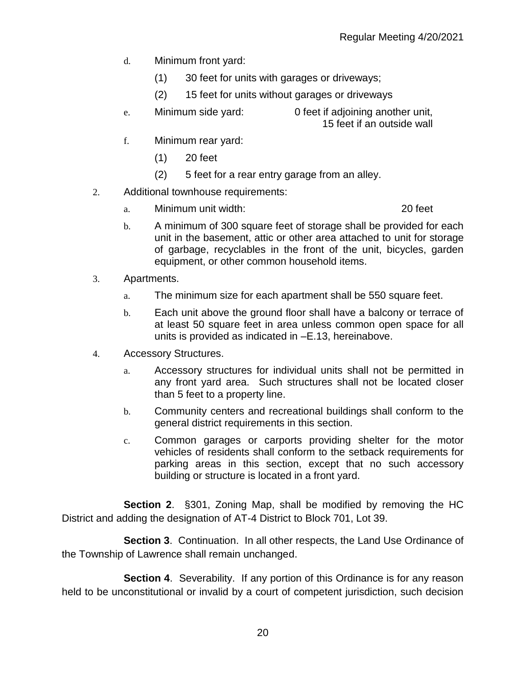- d. Minimum front yard:
	- (1) 30 feet for units with garages or driveways;
	- (2) 15 feet for units without garages or driveways
- e. Minimum side yard: 0 feet if adjoining another unit, 15 feet if an outside wall
- f. Minimum rear yard:
	- (1) 20 feet
	- (2) 5 feet for a rear entry garage from an alley.
- 2. Additional townhouse requirements:
	- a. Minimum unit width: 20 feet

- b. A minimum of 300 square feet of storage shall be provided for each unit in the basement, attic or other area attached to unit for storage of garbage, recyclables in the front of the unit, bicycles, garden equipment, or other common household items.
- 3. Apartments.
	- a. The minimum size for each apartment shall be 550 square feet.
	- b. Each unit above the ground floor shall have a balcony or terrace of at least 50 square feet in area unless common open space for all units is provided as indicated in –E.13, hereinabove.
- 4. Accessory Structures.
	- a. Accessory structures for individual units shall not be permitted in any front yard area. Such structures shall not be located closer than 5 feet to a property line.
	- b. Community centers and recreational buildings shall conform to the general district requirements in this section.
	- c. Common garages or carports providing shelter for the motor vehicles of residents shall conform to the setback requirements for parking areas in this section, except that no such accessory building or structure is located in a front yard.

**Section 2**. §301, Zoning Map, shall be modified by removing the HC District and adding the designation of AT-4 District to Block 701, Lot 39.

**Section 3**. Continuation. In all other respects, the Land Use Ordinance of the Township of Lawrence shall remain unchanged.

**Section 4.** Severability. If any portion of this Ordinance is for any reason held to be unconstitutional or invalid by a court of competent jurisdiction, such decision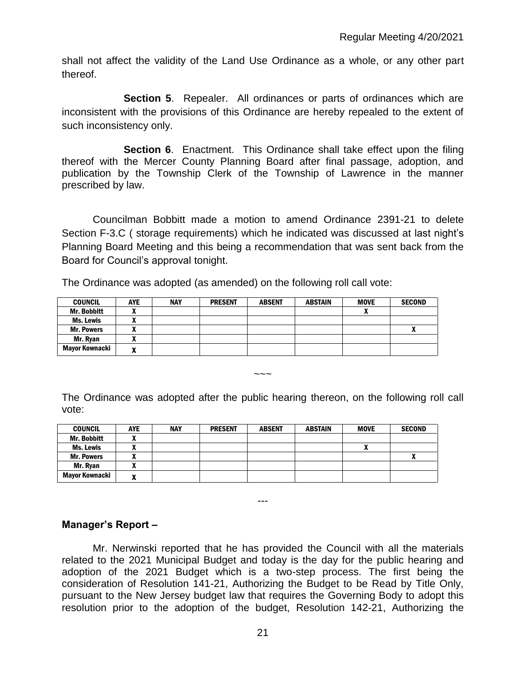shall not affect the validity of the Land Use Ordinance as a whole, or any other part thereof.

**Section 5**. Repealer. All ordinances or parts of ordinances which are inconsistent with the provisions of this Ordinance are hereby repealed to the extent of such inconsistency only.

**Section 6**. Enactment. This Ordinance shall take effect upon the filing thereof with the Mercer County Planning Board after final passage, adoption, and publication by the Township Clerk of the Township of Lawrence in the manner prescribed by law.

Councilman Bobbitt made a motion to amend Ordinance 2391-21 to delete Section F-3.C ( storage requirements) which he indicated was discussed at last night's Planning Board Meeting and this being a recommendation that was sent back from the Board for Council's approval tonight.

The Ordinance was adopted (as amended) on the following roll call vote:

| <b>COUNCIL</b>        | <b>AYE</b> | <b>NAY</b> | <b>PRESENT</b> | <b>ABSENT</b> | <b>ABSTAIN</b> | <b>MOVE</b> | <b>SECOND</b> |
|-----------------------|------------|------------|----------------|---------------|----------------|-------------|---------------|
| <b>Mr. Bobbitt</b>    |            |            |                |               |                |             |               |
| Ms. Lewis             |            |            |                |               |                |             |               |
| <b>Mr. Powers</b>     |            |            |                |               |                |             |               |
| Mr. Ryan              |            |            |                |               |                |             |               |
| <b>Mayor Kownacki</b> | ~          |            |                |               |                |             |               |

The Ordinance was adopted after the public hearing thereon, on the following roll call vote:

 $\sim\sim\sim$ 

| <b>COUNCIL</b>        | <b>AYE</b> | <b>NAY</b> | <b>PRESENT</b> | <b>ABSENT</b> | <b>ABSTAIN</b> | <b>MOVE</b> | <b>SECOND</b> |
|-----------------------|------------|------------|----------------|---------------|----------------|-------------|---------------|
| <b>Mr. Bobbitt</b>    |            |            |                |               |                |             |               |
| <b>Ms. Lewis</b>      |            |            |                |               |                | ,,          |               |
| <b>Mr. Powers</b>     |            |            |                |               |                |             |               |
| Mr. Ryan              |            |            |                |               |                |             |               |
| <b>Mayor Kownacki</b> | . .        |            |                |               |                |             |               |

## **Manager's Report –**

Mr. Nerwinski reported that he has provided the Council with all the materials related to the 2021 Municipal Budget and today is the day for the public hearing and adoption of the 2021 Budget which is a two-step process. The first being the consideration of Resolution 141-21, Authorizing the Budget to be Read by Title Only, pursuant to the New Jersey budget law that requires the Governing Body to adopt this resolution prior to the adoption of the budget, Resolution 142-21, Authorizing the

---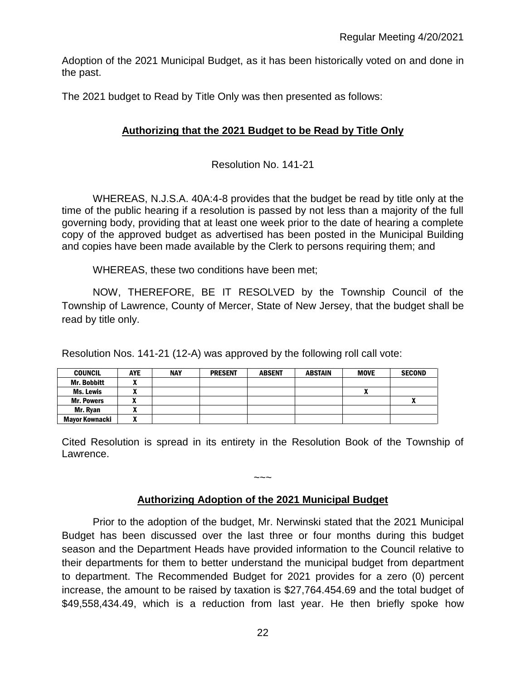Adoption of the 2021 Municipal Budget, as it has been historically voted on and done in the past.

The 2021 budget to Read by Title Only was then presented as follows:

## **Authorizing that the 2021 Budget to be Read by Title Only**

Resolution No. 141-21

WHEREAS, N.J.S.A. 40A:4-8 provides that the budget be read by title only at the time of the public hearing if a resolution is passed by not less than a majority of the full governing body, providing that at least one week prior to the date of hearing a complete copy of the approved budget as advertised has been posted in the Municipal Building and copies have been made available by the Clerk to persons requiring them; and

WHEREAS, these two conditions have been met;

NOW, THEREFORE, BE IT RESOLVED by the Township Council of the Township of Lawrence, County of Mercer, State of New Jersey, that the budget shall be read by title only.

Resolution Nos. 141-21 (12-A) was approved by the following roll call vote:

| <b>COUNCIL</b>     | <b>AYE</b> | <b>NAY</b> | <b>PRESENT</b> | <b>ABSENT</b> | <b>ABSTAIN</b> | <b>MOVE</b> | <b>SECOND</b> |
|--------------------|------------|------------|----------------|---------------|----------------|-------------|---------------|
| <b>Mr. Bobbitt</b> |            |            |                |               |                |             |               |
| Ms. Lewis          |            |            |                |               |                |             |               |
| <b>Mr. Powers</b>  |            |            |                |               |                |             |               |
| Mr. Rvan           | ,,,        |            |                |               |                |             |               |
| Mayor Kownacki     |            |            |                |               |                |             |               |

Cited Resolution is spread in its entirety in the Resolution Book of the Township of Lawrence.

## **Authorizing Adoption of the 2021 Municipal Budget**

 $\sim\sim\sim$ 

Prior to the adoption of the budget, Mr. Nerwinski stated that the 2021 Municipal Budget has been discussed over the last three or four months during this budget season and the Department Heads have provided information to the Council relative to their departments for them to better understand the municipal budget from department to department. The Recommended Budget for 2021 provides for a zero (0) percent increase, the amount to be raised by taxation is \$27,764.454.69 and the total budget of \$49,558,434.49, which is a reduction from last year. He then briefly spoke how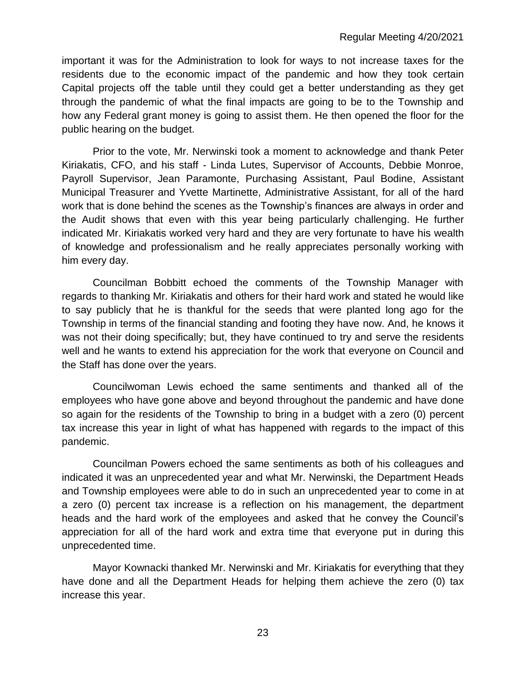important it was for the Administration to look for ways to not increase taxes for the residents due to the economic impact of the pandemic and how they took certain Capital projects off the table until they could get a better understanding as they get through the pandemic of what the final impacts are going to be to the Township and how any Federal grant money is going to assist them. He then opened the floor for the public hearing on the budget.

Prior to the vote, Mr. Nerwinski took a moment to acknowledge and thank Peter Kiriakatis, CFO, and his staff - Linda Lutes, Supervisor of Accounts, Debbie Monroe, Payroll Supervisor, Jean Paramonte, Purchasing Assistant, Paul Bodine, Assistant Municipal Treasurer and Yvette Martinette, Administrative Assistant, for all of the hard work that is done behind the scenes as the Township's finances are always in order and the Audit shows that even with this year being particularly challenging. He further indicated Mr. Kiriakatis worked very hard and they are very fortunate to have his wealth of knowledge and professionalism and he really appreciates personally working with him every day.

Councilman Bobbitt echoed the comments of the Township Manager with regards to thanking Mr. Kiriakatis and others for their hard work and stated he would like to say publicly that he is thankful for the seeds that were planted long ago for the Township in terms of the financial standing and footing they have now. And, he knows it was not their doing specifically; but, they have continued to try and serve the residents well and he wants to extend his appreciation for the work that everyone on Council and the Staff has done over the years.

Councilwoman Lewis echoed the same sentiments and thanked all of the employees who have gone above and beyond throughout the pandemic and have done so again for the residents of the Township to bring in a budget with a zero (0) percent tax increase this year in light of what has happened with regards to the impact of this pandemic.

Councilman Powers echoed the same sentiments as both of his colleagues and indicated it was an unprecedented year and what Mr. Nerwinski, the Department Heads and Township employees were able to do in such an unprecedented year to come in at a zero (0) percent tax increase is a reflection on his management, the department heads and the hard work of the employees and asked that he convey the Council's appreciation for all of the hard work and extra time that everyone put in during this unprecedented time.

Mayor Kownacki thanked Mr. Nerwinski and Mr. Kiriakatis for everything that they have done and all the Department Heads for helping them achieve the zero (0) tax increase this year.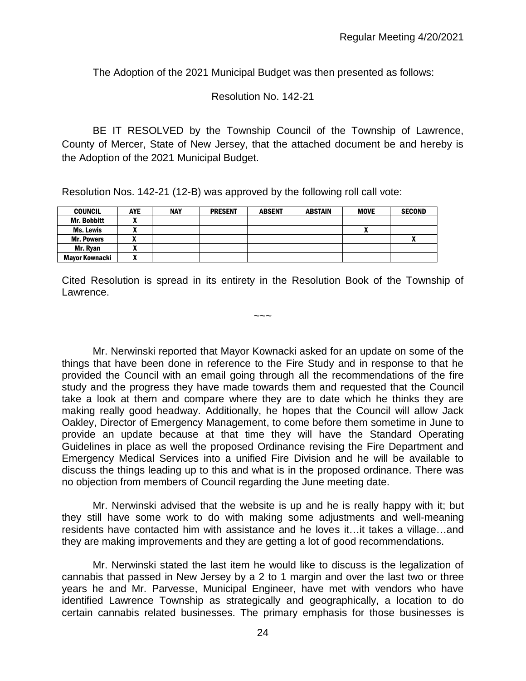The Adoption of the 2021 Municipal Budget was then presented as follows:

Resolution No. 142-21

BE IT RESOLVED by the Township Council of the Township of Lawrence, County of Mercer, State of New Jersey, that the attached document be and hereby is the Adoption of the 2021 Municipal Budget.

Resolution Nos. 142-21 (12-B) was approved by the following roll call vote:

| <b>COUNCIL</b>        | <b>AYE</b> | <b>NAY</b> | <b>PRESENT</b> | <b>ABSENT</b> | <b>ABSTAIN</b> | <b>MOVE</b> | <b>SECOND</b> |
|-----------------------|------------|------------|----------------|---------------|----------------|-------------|---------------|
| <b>Mr. Bobbitt</b>    |            |            |                |               |                |             |               |
| Ms. Lewis             |            |            |                |               |                |             |               |
| <b>Mr. Powers</b>     |            |            |                |               |                |             | ٠.            |
| Mr. Ryan              | ~          |            |                |               |                |             |               |
| <b>Mayor Kownacki</b> |            |            |                |               |                |             |               |

Cited Resolution is spread in its entirety in the Resolution Book of the Township of Lawrence.

~~~

Mr. Nerwinski reported that Mayor Kownacki asked for an update on some of the things that have been done in reference to the Fire Study and in response to that he provided the Council with an email going through all the recommendations of the fire study and the progress they have made towards them and requested that the Council take a look at them and compare where they are to date which he thinks they are making really good headway. Additionally, he hopes that the Council will allow Jack Oakley, Director of Emergency Management, to come before them sometime in June to provide an update because at that time they will have the Standard Operating Guidelines in place as well the proposed Ordinance revising the Fire Department and Emergency Medical Services into a unified Fire Division and he will be available to discuss the things leading up to this and what is in the proposed ordinance. There was no objection from members of Council regarding the June meeting date.

Mr. Nerwinski advised that the website is up and he is really happy with it; but they still have some work to do with making some adjustments and well-meaning residents have contacted him with assistance and he loves it…it takes a village…and they are making improvements and they are getting a lot of good recommendations.

Mr. Nerwinski stated the last item he would like to discuss is the legalization of cannabis that passed in New Jersey by a 2 to 1 margin and over the last two or three years he and Mr. Parvesse, Municipal Engineer, have met with vendors who have identified Lawrence Township as strategically and geographically, a location to do certain cannabis related businesses. The primary emphasis for those businesses is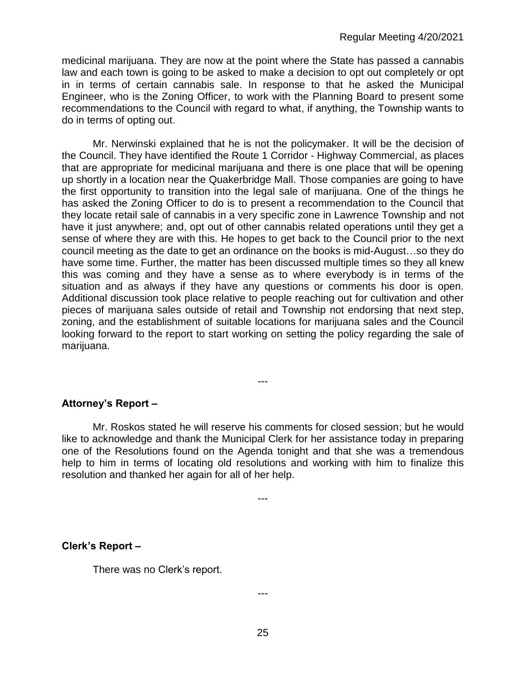medicinal marijuana. They are now at the point where the State has passed a cannabis law and each town is going to be asked to make a decision to opt out completely or opt in in terms of certain cannabis sale. In response to that he asked the Municipal Engineer, who is the Zoning Officer, to work with the Planning Board to present some recommendations to the Council with regard to what, if anything, the Township wants to do in terms of opting out.

Mr. Nerwinski explained that he is not the policymaker. It will be the decision of the Council. They have identified the Route 1 Corridor - Highway Commercial, as places that are appropriate for medicinal marijuana and there is one place that will be opening up shortly in a location near the Quakerbridge Mall. Those companies are going to have the first opportunity to transition into the legal sale of marijuana. One of the things he has asked the Zoning Officer to do is to present a recommendation to the Council that they locate retail sale of cannabis in a very specific zone in Lawrence Township and not have it just anywhere; and, opt out of other cannabis related operations until they get a sense of where they are with this. He hopes to get back to the Council prior to the next council meeting as the date to get an ordinance on the books is mid-August…so they do have some time. Further, the matter has been discussed multiple times so they all knew this was coming and they have a sense as to where everybody is in terms of the situation and as always if they have any questions or comments his door is open. Additional discussion took place relative to people reaching out for cultivation and other pieces of marijuana sales outside of retail and Township not endorsing that next step, zoning, and the establishment of suitable locations for marijuana sales and the Council looking forward to the report to start working on setting the policy regarding the sale of marijuana.

## **Attorney's Report –**

Mr. Roskos stated he will reserve his comments for closed session; but he would like to acknowledge and thank the Municipal Clerk for her assistance today in preparing one of the Resolutions found on the Agenda tonight and that she was a tremendous help to him in terms of locating old resolutions and working with him to finalize this resolution and thanked her again for all of her help.

---

---

## **Clerk's Report –**

There was no Clerk's report.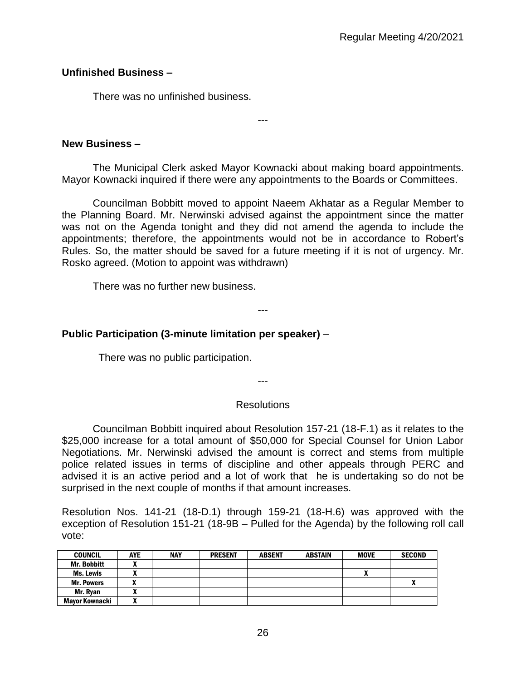## **Unfinished Business –**

There was no unfinished business.

**New Business –** 

The Municipal Clerk asked Mayor Kownacki about making board appointments. Mayor Kownacki inquired if there were any appointments to the Boards or Committees.

---

Councilman Bobbitt moved to appoint Naeem Akhatar as a Regular Member to the Planning Board. Mr. Nerwinski advised against the appointment since the matter was not on the Agenda tonight and they did not amend the agenda to include the appointments; therefore, the appointments would not be in accordance to Robert's Rules. So, the matter should be saved for a future meeting if it is not of urgency. Mr. Rosko agreed. (Motion to appoint was withdrawn)

There was no further new business.

## **Public Participation (3-minute limitation per speaker)** –

There was no public participation.

---

---

#### **Resolutions**

Councilman Bobbitt inquired about Resolution 157-21 (18-F.1) as it relates to the \$25,000 increase for a total amount of \$50,000 for Special Counsel for Union Labor Negotiations. Mr. Nerwinski advised the amount is correct and stems from multiple police related issues in terms of discipline and other appeals through PERC and advised it is an active period and a lot of work that he is undertaking so do not be surprised in the next couple of months if that amount increases.

Resolution Nos. 141-21 (18-D.1) through 159-21 (18-H.6) was approved with the exception of Resolution 151-21 (18-9B – Pulled for the Agenda) by the following roll call vote:

| <b>COUNCIL</b>     | <b>AYE</b> | <b>NAY</b> | <b>PRESENT</b> | <b>ABSENT</b> | <b>ABSTAIN</b> | <b>MOVE</b> | <b>SECOND</b> |
|--------------------|------------|------------|----------------|---------------|----------------|-------------|---------------|
| <b>Mr. Bobbitt</b> |            |            |                |               |                |             |               |
| Ms. Lewis          |            |            |                |               |                |             |               |
| <b>Mr. Powers</b>  |            |            |                |               |                |             |               |
| Mr. Ryan           | ,,,        |            |                |               |                |             |               |
| Mayor Kownacki     |            |            |                |               |                |             |               |